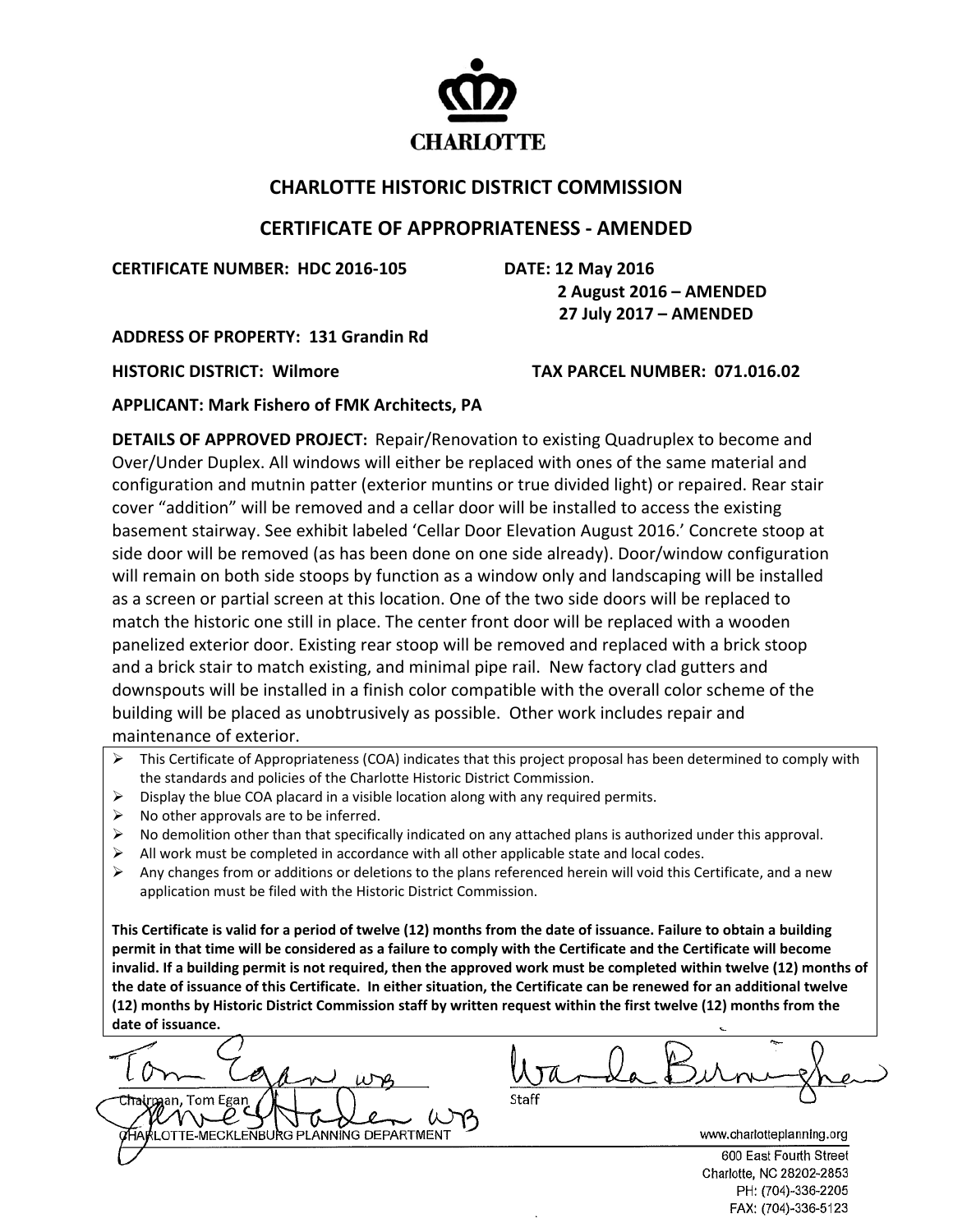

## **CHARLOTTE HISTORIC DISTRICT COMMISSION**

## **CERTIFICATE OF APPROPRIATENESS ‐ AMENDED**

**CERTIFICATE NUMBER: HDC 2016‐105 DATE: 12 May 2016**

 **2 August 2016 – AMENDED** 

 **27 July 2017 – AMENDED** 

**ADDRESS OF PROPERTY: 131 Grandin Rd**

**HISTORIC DISTRICT: Wilmore TAX PARCEL NUMBER: 071.016.02**

**APPLICANT: Mark Fishero of FMK Architects, PA** 

**DETAILS OF APPROVED PROJECT:** Repair/Renovation to existing Quadruplex to become and Over/Under Duplex. All windows will either be replaced with ones of the same material and configuration and mutnin patter (exterior muntins or true divided light) or repaired. Rear stair cover "addition" will be removed and a cellar door will be installed to access the existing basement stairway. See exhibit labeled 'Cellar Door Elevation August 2016.' Concrete stoop at side door will be removed (as has been done on one side already). Door/window configuration will remain on both side stoops by function as a window only and landscaping will be installed as a screen or partial screen at this location. One of the two side doors will be replaced to match the historic one still in place. The center front door will be replaced with a wooden panelized exterior door. Existing rear stoop will be removed and replaced with a brick stoop and a brick stair to match existing, and minimal pipe rail. New factory clad gutters and downspouts will be installed in a finish color compatible with the overall color scheme of the building will be placed as unobtrusively as possible. Other work includes repair and maintenance of exterior.

- $\triangleright$  This Certificate of Appropriateness (COA) indicates that this project proposal has been determined to comply with the standards and policies of the Charlotte Historic District Commission.
- $\triangleright$  Display the blue COA placard in a visible location along with any required permits.
- $\triangleright$  No other approvals are to be inferred.
- $\triangleright$  No demolition other than that specifically indicated on any attached plans is authorized under this approval.
- All work must be completed in accordance with all other applicable state and local codes.
- $\triangleright$  Any changes from or additions or deletions to the plans referenced herein will void this Certificate, and a new application must be filed with the Historic District Commission.

This Certificate is valid for a period of twelve (12) months from the date of issuance. Failure to obtain a building permit in that time will be considered as a failure to comply with the Certificate and the Certificate will become invalid. If a building permit is not required, then the approved work must be completed within twelve (12) months of the date of issuance of this Certificate. In either situation, the Certificate can be renewed for an additional twelve (12) months by Historic District Commission staff by written request within the first twelve (12) months from the **date of issuance.** 

 <mark>hairman, Tom Egan</mark> HARLOTTE MECKLENBURG PLANNING DEPARTMENT

www.charlotteplanning.org

600 East Fourth Street Charlotte, NC 28202-2853 PH: (704)-336-2205 FAX: (704)-336-5123